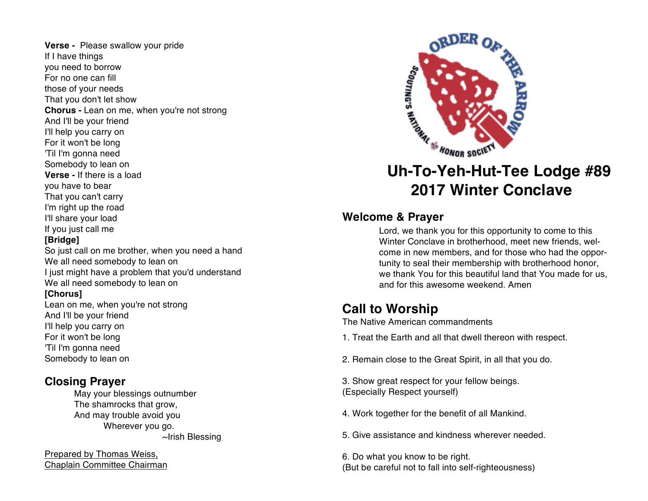**Verse -** Please swallow your pride If I have things you need to borrow For no one can fill those of your needs That you don't let show **Chorus -** Lean on me, when you're not strong And I'll be your friend I'll help you carry on For it won't be long 'Til I'm gonna need Somebody to lean on **Verse -** If there is a load you have to bear That you can't carry I'm right up the road I'll share your load If you just call me **[Bridge]** So just call on me brother, when you need a hand We all need somebody to lean on I just might have a problem that you'd understand We all need somebody to lean on

#### **[Chorus]**

Lean on me, when you're not strong And I'll be your friend I'll help you carry on For it won't be long 'Til I'm gonna need Somebody to lean on

### **Closing Prayer**

May your blessings outnumber The shamrocks that grow, And may trouble avoid you Wherever you go. ~Irish Blessing

Prepared by Thomas Weiss, Chaplain Committee Chairman



# **2017 Winter Conclave**

#### **Welcome & Prayer**

Lord, we thank you for this opportunity to come to this Winter Conclave in brotherhood, meet new friends, welcome in new members, and for those who had the opportunity to seal their membership with brotherhood honor, we thank You for this beautiful land that You made for us, and for this awesome weekend. Amen

## **Call to Worship**

The Native American commandments

- 1. Treat the Earth and all that dwell thereon with respect.
- 2. Remain close to the Great Spirit, in all that you do.
- 3. Show great respect for your fellow beings. (Especially Respect yourself)
- 4. Work together for the benefit of all Mankind.
- 5. Give assistance and kindness wherever needed.

6. Do what you know to be right. (But be careful not to fall into self-righteousness)